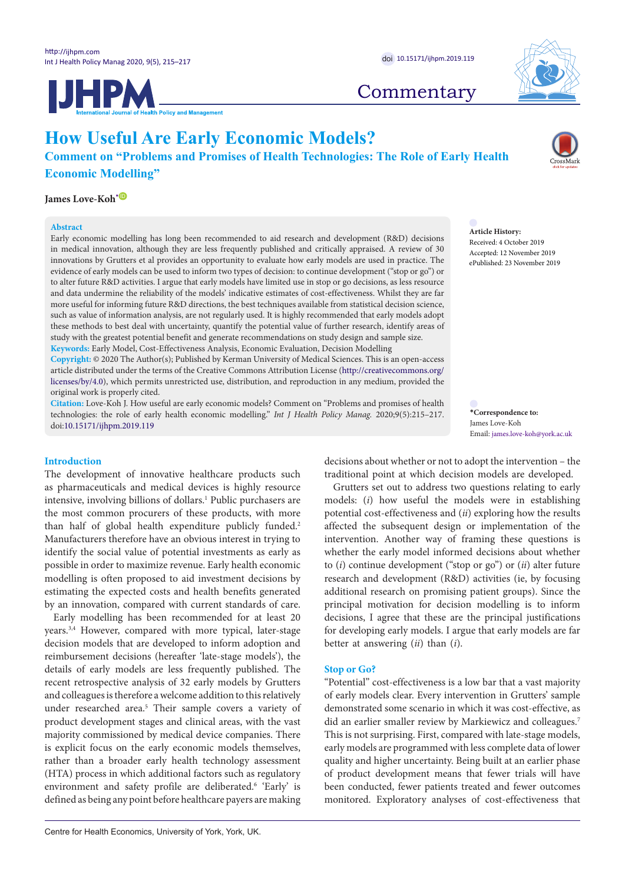





## **Commentary**

# **How Useful Are Early Economic Models?**

**Comment on "Problems and Promises of Health Technologies: The Role of Early Health Economic Modelling"**

## James Love-Koh $^{\ast}{}^{{\color{red}\mathbb{O}}}$

#### **Abstract**

Early economic modelling has long been recommended to aid research and development (R&D) decisions in medical innovation, although they are less frequently published and critically appraised. A review of 30 innovations by Grutters et al provides an opportunity to evaluate how early models are used in practice. The evidence of early models can be used to inform two types of decision: to continue development ("stop or go") or to alter future R&D activities. I argue that early models have limited use in stop or go decisions, as less resource and data undermine the reliability of the models' indicative estimates of cost-effectiveness. Whilst they are far more useful for informing future R&D directions, the best techniques available from statistical decision science, such as value of information analysis, are not regularly used. It is highly recommended that early models adopt these methods to best deal with uncertainty, quantify the potential value of further research, identify areas of study with the greatest potential benefit and generate recommendations on study design and sample size. **Keywords:** Early Model, Cost-Effectiveness Analysis, Economic Evaluation, Decision Modelling

**Copyright:** © 2020 The Author(s); Published by Kerman University of Medical Sciences. This is an open-access article distributed under the terms of the Creative Commons Attribution License ([http://creativecommons.org/](http://creativecommons.org/licenses/by/4.0) [licenses/by/4.0](http://creativecommons.org/licenses/by/4.0)), which permits unrestricted use, distribution, and reproduction in any medium, provided the original work is properly cited.

**Citation:** Love-Koh J. How useful are early economic models? Comment on "Problems and promises of health technologies: the role of early health economic modelling." *Int J Health Policy Manag.* 2020;9(5):215–217. doi[:10.15171/ijhpm.2019.119](https://doi.org/10.15171/ijhpm.2019.119)

#### **Introduction**

The development of innovative healthcare products such as pharmaceuticals and medical devices is highly resource intensive, involving billions of dollars.1 Public purchasers are the most common procurers of these products, with more than half of global health expenditure publicly funded.<sup>2</sup> Manufacturers therefore have an obvious interest in trying to identify the social value of potential investments as early as possible in order to maximize revenue. Early health economic modelling is often proposed to aid investment decisions by estimating the expected costs and health benefits generated by an innovation, compared with current standards of care.

Early modelling has been recommended for at least 20 years.3,4 However, compared with more typical, later-stage decision models that are developed to inform adoption and reimbursement decisions (hereafter 'late-stage models'), the details of early models are less frequently published. The recent retrospective analysis of 32 early models by Grutters and colleagues is therefore a welcome addition to this relatively under researched area.<sup>5</sup> Their sample covers a variety of product development stages and clinical areas, with the vast majority commissioned by medical device companies. There is explicit focus on the early economic models themselves, rather than a broader early health technology assessment (HTA) process in which additional factors such as regulatory environment and safety profile are deliberated.<sup>6</sup> 'Early' is defined as being any point before healthcare payers are making

**Article History:** Received: 4 October 2019 Accepted: 12 November 2019 ePublished: 23 November 2019

<span id="page-0-0"></span>**\*Correspondence to:** James Love-Koh Email: james.love-koh@york.ac.uk

decisions about whether or not to adopt the intervention – the traditional point at which decision models are developed.

Grutters set out to address two questions relating to early models: (*i*) how useful the models were in establishing potential cost-effectiveness and (*ii*) exploring how the results affected the subsequent design or implementation of the intervention. Another way of framing these questions is whether the early model informed decisions about whether to (*i*) continue development ("stop or go") or (*ii*) alter future research and development (R&D) activities (ie, by focusing additional research on promising patient groups). Since the principal motivation for decision modelling is to inform decisions, I agree that these are the principal justifications for developing early models. I argue that early models are far better at answering (*ii*) than (*i*).

## **Stop or Go?**

"Potential" cost-effectiveness is a low bar that a vast majority of early models clear. Every intervention in Grutters' sample demonstrated some scenario in which it was cost-effective, as did an earlier smaller review by Markiewicz and colleagues.<sup>7</sup> This is not surprising. First, compared with late-stage models, early models are programmed with less complete data of lower quality and higher uncertainty. Being built at an earlier phase of product development means that fewer trials will have been conducted, fewer patients treated and fewer outcomes monitored. Exploratory analyses of cost-effectiveness that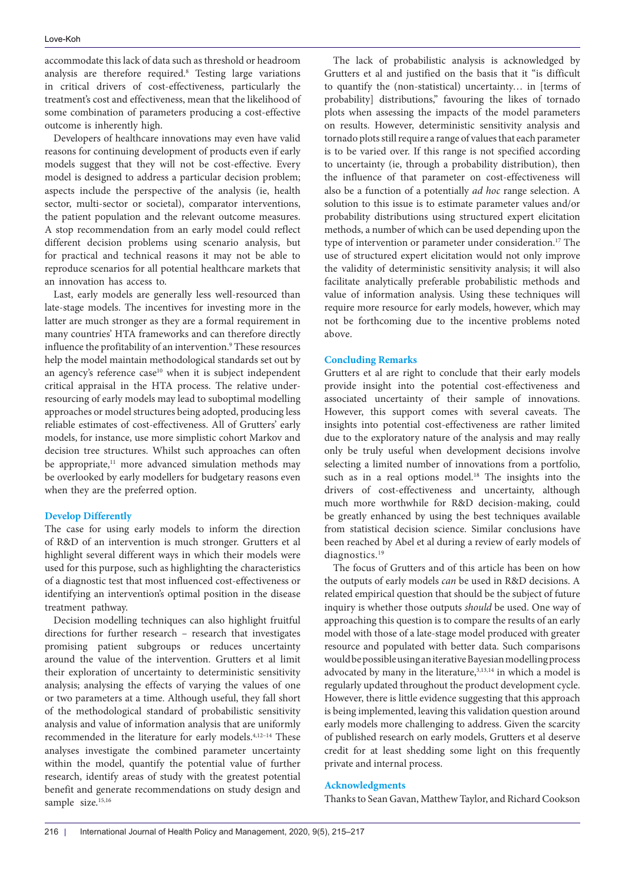accommodate this lack of data such as threshold or headroom analysis are therefore required.<sup>8</sup> Testing large variations in critical drivers of cost-effectiveness, particularly the treatment's cost and effectiveness, mean that the likelihood of some combination of parameters producing a cost-effective outcome is inherently high.

Developers of healthcare innovations may even have valid reasons for continuing development of products even if early models suggest that they will not be cost-effective. Every model is designed to address a particular decision problem; aspects include the perspective of the analysis (ie, health sector, multi-sector or societal), comparator interventions, the patient population and the relevant outcome measures. A stop recommendation from an early model could reflect different decision problems using scenario analysis, but for practical and technical reasons it may not be able to reproduce scenarios for all potential healthcare markets that an innovation has access to.

Last, early models are generally less well-resourced than late-stage models. The incentives for investing more in the latter are much stronger as they are a formal requirement in many countries' HTA frameworks and can therefore directly influence the profitability of an intervention.<sup>9</sup> These resources help the model maintain methodological standards set out by an agency's reference  $case<sup>10</sup>$  when it is subject independent critical appraisal in the HTA process. The relative underresourcing of early models may lead to suboptimal modelling approaches or model structures being adopted, producing less reliable estimates of cost-effectiveness. All of Grutters' early models, for instance, use more simplistic cohort Markov and decision tree structures. Whilst such approaches can often be appropriate,<sup>11</sup> more advanced simulation methods may be overlooked by early modellers for budgetary reasons even when they are the preferred option.

## **Develop Differently**

The case for using early models to inform the direction of R&D of an intervention is much stronger. Grutters et al highlight several different ways in which their models were used for this purpose, such as highlighting the characteristics of a diagnostic test that most influenced cost-effectiveness or identifying an intervention's optimal position in the disease treatment pathway.

Decision modelling techniques can also highlight fruitful directions for further research – research that investigates promising patient subgroups or reduces uncertainty around the value of the intervention. Grutters et al limit their exploration of uncertainty to deterministic sensitivity analysis; analysing the effects of varying the values of one or two parameters at a time. Although useful, they fall short of the methodological standard of probabilistic sensitivity analysis and value of information analysis that are uniformly recommended in the literature for early models.4,12–14 These analyses investigate the combined parameter uncertainty within the model, quantify the potential value of further research, identify areas of study with the greatest potential benefit and generate recommendations on study design and sample size.<sup>15,16</sup>

The lack of probabilistic analysis is acknowledged by Grutters et al and justified on the basis that it "is difficult to quantify the (non-statistical) uncertainty… in [terms of probability] distributions," favouring the likes of tornado plots when assessing the impacts of the model parameters on results. However, deterministic sensitivity analysis and tornado plots still require a range of values that each parameter is to be varied over. If this range is not specified according to uncertainty (ie, through a probability distribution), then the influence of that parameter on cost-effectiveness will also be a function of a potentially *ad hoc* range selection. A solution to this issue is to estimate parameter values and/or probability distributions using structured expert elicitation methods, a number of which can be used depending upon the type of intervention or parameter under consideration.<sup>17</sup> The use of structured expert elicitation would not only improve the validity of deterministic sensitivity analysis; it will also facilitate analytically preferable probabilistic methods and value of information analysis. Using these techniques will require more resource for early models, however, which may not be forthcoming due to the incentive problems noted above.

## **Concluding Remarks**

Grutters et al are right to conclude that their early models provide insight into the potential cost-effectiveness and associated uncertainty of their sample of innovations. However, this support comes with several caveats. The insights into potential cost-effectiveness are rather limited due to the exploratory nature of the analysis and may really only be truly useful when development decisions involve selecting a limited number of innovations from a portfolio, such as in a real options model.<sup>18</sup> The insights into the drivers of cost-effectiveness and uncertainty, although much more worthwhile for R&D decision-making, could be greatly enhanced by using the best techniques available from statistical decision science. Similar conclusions have been reached by Abel et al during a review of early models of diagnostics.<sup>19</sup>

The focus of Grutters and of this article has been on how the outputs of early models *can* be used in R&D decisions. A related empirical question that should be the subject of future inquiry is whether those outputs *should* be used. One way of approaching this question is to compare the results of an early model with those of a late-stage model produced with greater resource and populated with better data. Such comparisons would be possible using an iterative Bayesian modelling process advocated by many in the literature,<sup>3,13,14</sup> in which a model is regularly updated throughout the product development cycle. However, there is little evidence suggesting that this approach is being implemented, leaving this validation question around early models more challenging to address. Given the scarcity of published research on early models, Grutters et al deserve credit for at least shedding some light on this frequently private and internal process.

## **Acknowledgments**

Thanks to Sean Gavan, Matthew Taylor, and Richard Cookson